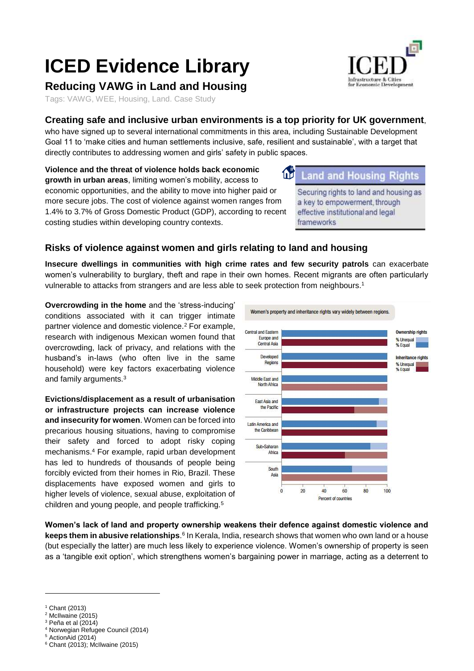# **ICED Evidence Library**

## **Reducing VAWG in Land and Housing**

Tags: VAWG, WEE, Housing, Land. Case Study

## **Creating safe and inclusive urban environments is a top priority for UK government**,

who have signed up to several international commitments in this area, including Sustainable Development Goal 11 to 'make cities and human settlements inclusive, safe, resilient and sustainable', with a target that directly contributes to addressing women and girls' safety in public spaces.

**Violence and the threat of violence holds back economic**  11 **growth in urban areas**, limiting women's mobility, access to economic opportunities, and the ability to move into higher paid or more secure jobs. The cost of violence against women ranges from 1.4% to 3.7% of Gross Domestic Product (GDP), according to recent costing studies within developing country contexts.

#### Land and Housing Riahts

Securing rights to land and housing as a key to empowerment, through effective institutional and legal frameworks

## **Risks of violence against women and girls relating to land and housing**

**Insecure dwellings in communities with high crime rates and few security patrols** can exacerbate women's vulnerability to burglary, theft and rape in their own homes. Recent migrants are often particularly vulnerable to attacks from strangers and are less able to seek protection from neighbours.<sup>1</sup>

**Overcrowding in the home** and the 'stress-inducing' conditions associated with it can trigger intimate partner violence and domestic violence.<sup>2</sup> For example, research with indigenous Mexican women found that overcrowding, lack of privacy, and relations with the husband's in-laws (who often live in the same household) were key factors exacerbating violence and family arguments.<sup>3</sup>

**Evictions/displacement as a result of urbanisation or infrastructure projects can increase violence and insecurity for women**. Women can be forced into precarious housing situations, having to compromise their safety and forced to adopt risky coping mechanisms.<sup>4</sup> For example, rapid urban development has led to hundreds of thousands of people being forcibly evicted from their homes in Rio, Brazil. These displacements have exposed women and girls to higher levels of violence, sexual abuse, exploitation of children and young people, and people trafficking.<sup>5</sup>

Women's property and inheritance rights vary widely between regions. Central and Fastern **Ownership rights** Europe and % Unequal<br>% Equal Central Asia Developed Inheritance rights Regions % Unequal<br>% Equal Middle East and North Africa East Asia and the Pacific Latin America and the Caribbean Sub-Saharan Africa South Asia  $\theta$  $20$  $40$  $60$  $80$ 100 Percent of countries

**Women's lack of land and property ownership weakens their defence against domestic violence and**  keeps them in abusive relationships.<sup>6</sup> In Kerala, India, research shows that women who own land or a house (but especially the latter) are much less likely to experience violence. Women's ownership of property is seen as a 'tangible exit option', which strengthens women's bargaining power in marriage, acting as a deterrent to

-

<sup>4</sup> Norwegian Refugee Council (2014)



<sup>1</sup> Chant (2013)

 $2$  McIlwaine (2015)

 $3$  Peña et al (2014)

<sup>5</sup> ActionAid (2014)

 $6$  Chant (2013); McIlwaine (2015)